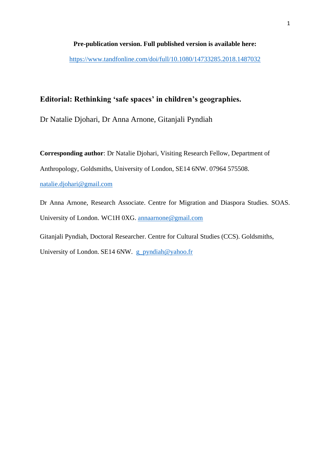## **Pre-publication version. Full published version is available here:**

<https://www.tandfonline.com/doi/full/10.1080/14733285.2018.1487032>

## **Editorial: Rethinking 'safe spaces' in children's geographies.**

Dr Natalie Djohari, Dr Anna Arnone, Gitanjali Pyndiah

**Corresponding author**: Dr Natalie Djohari, Visiting Research Fellow, Department of Anthropology, Goldsmiths, University of London, SE14 6NW. 07964 575508. [natalie.djohari@gmail.com](mailto:natalie.djohari@gmail.com)

Dr Anna Arnone, Research Associate. Centre for Migration and Diaspora Studies. SOAS. University of London. WC1H 0XG. [annaarnone@gmail.com](mailto:annaarnone@gmail.com)

Gitanjali Pyndiah, Doctoral Researcher. Centre for Cultural Studies (CCS). Goldsmiths, University of London. SE14 6NW. [g\\_pyndiah@yahoo.fr](mailto:g_pyndiah@yahoo.fr)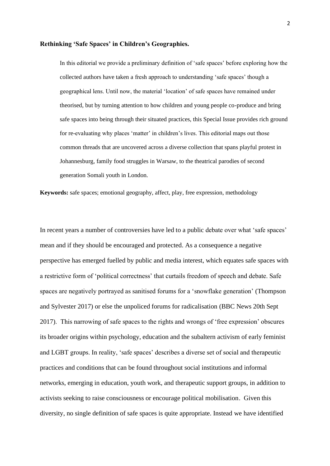## **Rethinking 'Safe Spaces' in Children's Geographies.**

In this editorial we provide a preliminary definition of 'safe spaces' before exploring how the collected authors have taken a fresh approach to understanding 'safe spaces' though a geographical lens. Until now, the material 'location' of safe spaces have remained under theorised, but by turning attention to how children and young people co-produce and bring safe spaces into being through their situated practices, this Special Issue provides rich ground for re-evaluating why places 'matter' in children's lives. This editorial maps out those common threads that are uncovered across a diverse collection that spans playful protest in Johannesburg, family food struggles in Warsaw, to the theatrical parodies of second generation Somali youth in London.

**Keywords:** safe spaces; emotional geography, affect, play, free expression, methodology

In recent years a number of controversies have led to a public debate over what 'safe spaces' mean and if they should be encouraged and protected. As a consequence a negative perspective has emerged fuelled by public and media interest, which equates safe spaces with a restrictive form of 'political correctness' that curtails freedom of speech and debate. Safe spaces are negatively portrayed as sanitised forums for a 'snowflake generation' (Thompson and Sylvester 2017) or else the unpoliced forums for radicalisation (BBC News 20th Sept 2017). This narrowing of safe spaces to the rights and wrongs of 'free expression' obscures its broader origins within psychology, education and the subaltern activism of early feminist and LGBT groups. In reality, 'safe spaces' describes a diverse set of social and therapeutic practices and conditions that can be found throughout social institutions and informal networks, emerging in education, youth work, and therapeutic support groups, in addition to activists seeking to raise consciousness or encourage political mobilisation. Given this diversity, no single definition of safe spaces is quite appropriate. Instead we have identified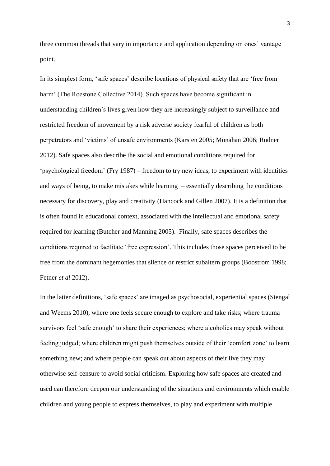three common threads that vary in importance and application depending on ones' vantage point.

In its simplest form, 'safe spaces' describe locations of physical safety that are 'free from harm' (The Roestone Collective 2014). Such spaces have become significant in understanding children's lives given how they are increasingly subject to surveillance and restricted freedom of movement by a risk adverse society fearful of children as both perpetrators and 'victims' of unsafe environments (Karsten 2005; Monahan 2006; Rudner 2012). Safe spaces also describe the social and emotional conditions required for 'psychological freedom' (Fry 1987) – freedom to try new ideas, to experiment with identities and ways of being, to make mistakes while learning – essentially describing the conditions necessary for discovery, play and creativity (Hancock and Gillen 2007). It is a definition that is often found in educational context, associated with the intellectual and emotional safety required for learning (Butcher and Manning 2005). Finally, safe spaces describes the conditions required to facilitate 'free expression'. This includes those spaces perceived to be free from the dominant hegemonies that silence or restrict subaltern groups (Boostrom 1998; Fetner *et al* 2012).

In the latter definitions, 'safe spaces' are imaged as psychosocial, experiential spaces (Stengal and Weems 2010), where one feels secure enough to explore and take risks; where trauma survivors feel 'safe enough' to share their experiences; where alcoholics may speak without feeling judged; where children might push themselves outside of their 'comfort zone' to learn something new; and where people can speak out about aspects of their live they may otherwise self-censure to avoid social criticism. Exploring how safe spaces are created and used can therefore deepen our understanding of the situations and environments which enable children and young people to express themselves, to play and experiment with multiple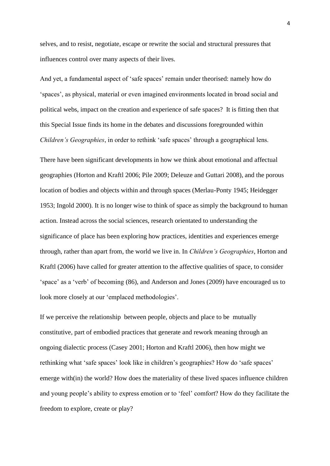selves, and to resist, negotiate, escape or rewrite the social and structural pressures that influences control over many aspects of their lives.

And yet, a fundamental aspect of 'safe spaces' remain under theorised: namely how do 'spaces', as physical, material or even imagined environments located in broad social and political webs, impact on the creation and experience of safe spaces? It is fitting then that this Special Issue finds its home in the debates and discussions foregrounded within *Children's Geographies*, in order to rethink 'safe spaces' through a geographical lens.

There have been significant developments in how we think about emotional and affectual geographies (Horton and Kraftl 2006; Pile 2009; Deleuze and Guttari 2008), and the porous location of bodies and objects within and through spaces (Merlau-Ponty 1945; Heidegger 1953; Ingold 2000). It is no longer wise to think of space as simply the background to human action. Instead across the social sciences, research orientated to understanding the significance of place has been exploring how practices, identities and experiences emerge through, rather than apart from, the world we live in. In *Children's Geographies*, Horton and Kraftl (2006) have called for greater attention to the affective qualities of space, to consider 'space' as a 'verb' of becoming (86), and Anderson and Jones (2009) have encouraged us to look more closely at our 'emplaced methodologies'.

If we perceive the relationship between people, objects and place to be mutually constitutive, part of embodied practices that generate and rework meaning through an ongoing dialectic process (Casey 2001; Horton and Kraftl 2006), then how might we rethinking what 'safe spaces' look like in children's geographies? How do 'safe spaces' emerge with(in) the world? How does the materiality of these lived spaces influence children and young people's ability to express emotion or to 'feel' comfort? How do they facilitate the freedom to explore, create or play?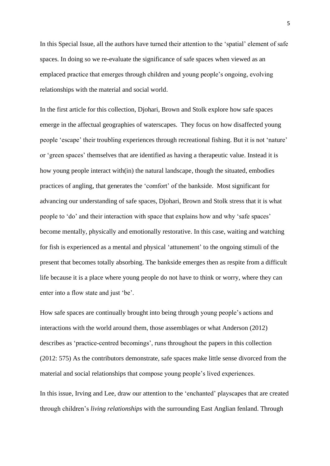In this Special Issue, all the authors have turned their attention to the 'spatial' element of safe spaces. In doing so we re-evaluate the significance of safe spaces when viewed as an emplaced practice that emerges through children and young people's ongoing, evolving relationships with the material and social world.

In the first article for this collection, Djohari, Brown and Stolk explore how safe spaces emerge in the affectual geographies of waterscapes. They focus on how disaffected young people 'escape' their troubling experiences through recreational fishing. But it is not 'nature' or 'green spaces' themselves that are identified as having a therapeutic value. Instead it is how young people interact with(in) the natural landscape, though the situated, embodies practices of angling, that generates the 'comfort' of the bankside. Most significant for advancing our understanding of safe spaces, Djohari, Brown and Stolk stress that it is what people to 'do' and their interaction with space that explains how and why 'safe spaces' become mentally, physically and emotionally restorative. In this case, waiting and watching for fish is experienced as a mental and physical 'attunement' to the ongoing stimuli of the present that becomes totally absorbing. The bankside emerges then as respite from a difficult life because it is a place where young people do not have to think or worry, where they can enter into a flow state and just 'be'.

How safe spaces are continually brought into being through young people's actions and interactions with the world around them, those assemblages or what Anderson (2012) describes as 'practice-centred becomings', runs throughout the papers in this collection (2012: 575) As the contributors demonstrate, safe spaces make little sense divorced from the material and social relationships that compose young people's lived experiences.

In this issue, Irving and Lee, draw our attention to the 'enchanted' playscapes that are created through children's *living relationships* with the surrounding East Anglian fenland. Through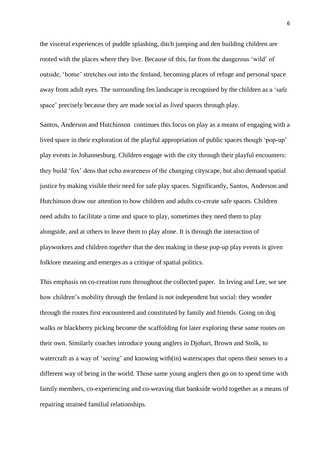the visceral experiences of puddle splashing, ditch jumping and den building children are rooted with the places where they live. Because of this, far from the dangerous 'wild' of outside, 'home' stretches out into the fenland, becoming places of refuge and personal space away from adult eyes. The surrounding fen landscape is recognised by the children as a 'safe space' precisely because they are made social as *lived* spaces through play.

Santos, Anderson and Hutchinson continues this focus on play as a means of engaging with a lived space in their exploration of the playful appropriation of public spaces though 'pop-up' play events in Johannesburg. Children engage with the city through their playful encounters: they build 'fox' dens that echo awareness of the changing cityscape, but also demand spatial justice by making visible their need for safe play spaces. Significantly, Santos, Anderson and Hutchinson draw our attention to how children and adults co-create safe spaces. Children need adults to facilitate a time and space to play, sometimes they need them to play alongside, and at others to leave them to play alone. It is through the interaction of playworkers and children *together* that the den making in these pop-up play events is given folklore meaning and emerges as a critique of spatial politics.

This emphasis on co-creation runs throughout the collected paper. In Irving and Lee, we see how children's mobility through the fenland is not independent but social: they wonder through the routes first encountered and constituted by family and friends. Going on dog walks or blackberry picking become the scaffolding for later exploring these same routes on their own. Similarly coaches introduce young anglers in Djohari, Brown and Stolk, to watercraft as a way of 'seeing' and knowing with(in) waterscapes that opens their senses to a different way of being in the world. Those same young anglers then go on to spend time with family members, co-experiencing and co-weaving that bankside world together as a means of repairing strained familial relationships.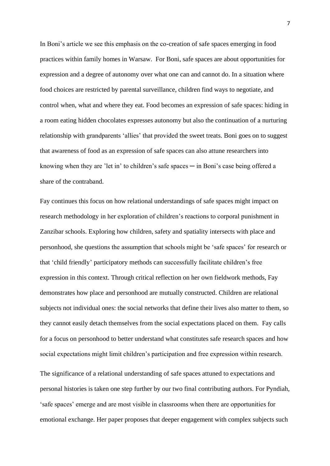In Boni's article we see this emphasis on the co-creation of safe spaces emerging in food practices within family homes in Warsaw. For Boni, safe spaces are about opportunities for expression and a degree of autonomy over what one can and cannot do. In a situation where food choices are restricted by parental surveillance, children find ways to negotiate, and control when, what and where they eat. Food becomes an expression of safe spaces: hiding in a room eating hidden chocolates expresses autonomy but also the continuation of a nurturing relationship with grandparents 'allies' that provided the sweet treats. Boni goes on to suggest that awareness of food as an expression of safe spaces can also attune researchers into knowing when they are 'let in' to children's safe spaces  $-$  in Boni's case being offered a share of the contraband.

Fay continues this focus on how relational understandings of safe spaces might impact on research methodology in her exploration of children's reactions to corporal punishment in Zanzibar schools. Exploring how children, safety and spatiality intersects with place and personhood, she questions the assumption that schools might be 'safe spaces' for research or that 'child friendly' participatory methods can successfully facilitate children's free expression in this context. Through critical reflection on her own fieldwork methods, Fay demonstrates how place and personhood are mutually constructed. Children are relational subjects not individual ones: the social networks that define their lives also matter to them, so they cannot easily detach themselves from the social expectations placed on them. Fay calls for a focus on personhood to better understand what constitutes safe research spaces and how social expectations might limit children's participation and free expression within research.

The significance of a relational understanding of safe spaces attuned to expectations and personal histories is taken one step further by our two final contributing authors. For Pyndiah, 'safe spaces' emerge and are most visible in classrooms when there are opportunities for emotional exchange. Her paper proposes that deeper engagement with complex subjects such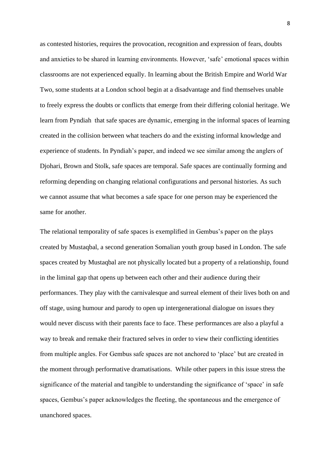as contested histories, requires the provocation, recognition and expression of fears, doubts and anxieties to be shared in learning environments. However, 'safe' emotional spaces within classrooms are not experienced equally. In learning about the British Empire and World War Two, some students at a London school begin at a disadvantage and find themselves unable to freely express the doubts or conflicts that emerge from their differing colonial heritage. We learn from Pyndiah that safe spaces are dynamic, emerging in the informal spaces of learning created in the collision between what teachers do and the existing informal knowledge and experience of students. In Pyndiah's paper, and indeed we see similar among the anglers of Djohari, Brown and Stolk, safe spaces are temporal. Safe spaces are continually forming and reforming depending on changing relational configurations and personal histories. As such we cannot assume that what becomes a safe space for one person may be experienced the same for another.

The relational temporality of safe spaces is exemplified in Gembus's paper on the plays created by Mustaqbal, a second generation Somalian youth group based in London. The safe spaces created by Mustaqbal are not physically located but a property of a relationship, found in the liminal gap that opens up between each other and their audience during their performances. They play with the carnivalesque and surreal element of their lives both on and off stage, using humour and parody to open up intergenerational dialogue on issues they would never discuss with their parents face to face. These performances are also a playful a way to break and remake their fractured selves in order to view their conflicting identities from multiple angles. For Gembus safe spaces are not anchored to 'place' but are created in the moment through performative dramatisations. While other papers in this issue stress the significance of the material and tangible to understanding the significance of 'space' in safe spaces, Gembus's paper acknowledges the fleeting, the spontaneous and the emergence of unanchored spaces.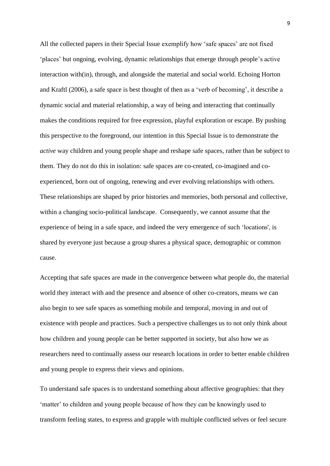All the collected papers in their Special Issue exemplify how 'safe spaces' are not fixed 'places' but ongoing, evolving, dynamic relationships that emerge through people's active interaction with(in), through, and alongside the material and social world. Echoing Horton and Kraftl (2006), a safe space is best thought of then as a 'verb of becoming', it describe a dynamic social and material relationship, a way of being and interacting that continually makes the conditions required for free expression, playful exploration or escape. By pushing this perspective to the foreground, our intention in this Special Issue is to demonstrate the *active* way children and young people shape and reshape safe spaces, rather than be subject to them. They do not do this in isolation: safe spaces are co-created, co-imagined and coexperienced, born out of ongoing, renewing and ever evolving relationships with others. These relationships are shaped by prior histories and memories, both personal and collective, within a changing socio-political landscape. Consequently, we cannot assume that the experience of being in a safe space, and indeed the very emergence of such 'locations', is shared by everyone just because a group shares a physical space, demographic or common cause.

Accepting that safe spaces are made in the convergence between what people do, the material world they interact with and the presence and absence of other co-creators, means we can also begin to see safe spaces as something mobile and temporal, moving in and out of existence with people and practices. Such a perspective challenges us to not only think about how children and young people can be better supported in society, but also how we as researchers need to continually assess our research locations in order to better enable children and young people to express their views and opinions.

To understand safe spaces is to understand something about affective geographies: that they 'matter' to children and young people because of how they can be knowingly used to transform feeling states, to express and grapple with multiple conflicted selves or feel secure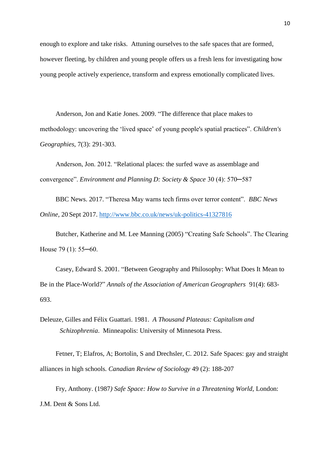enough to explore and take risks. Attuning ourselves to the safe spaces that are formed, however fleeting, by children and young people offers us a fresh lens for investigating how young people actively experience, transform and express emotionally complicated lives.

Anderson, Jon and Katie Jones. 2009. "The difference that place makes to methodology: uncovering the 'lived space' of young people's spatial practices". *Children's Geographies,* 7(3): 291-303.

Anderson, Jon. 2012. "Relational places: the surfed wave as assemblage and convergence". *Environment and Planning D: Society & Space* 30 (4): 570─587

BBC News. 2017. "Theresa May warns tech firms over terror content". *BBC News Online,* 20 Sept 2017.<http://www.bbc.co.uk/news/uk-politics-41327816>

Butcher, Katherine and M. Lee Manning (2005) "Creating Safe Schools". The Clearing House 79 (1): 55–60.

Casey, Edward S. 2001. "Between Geography and Philosophy: What Does It Mean to Be in the Place-World?" *Annals of the Association of American Geographers* 91(4): 683- 693.

Deleuze, Gilles and Félix Guattari. 1981. *A Thousand Plateaus: Capitalism and Schizophrenia*. Minneapolis: University of Minnesota Press.

Fetner, T; Elafros, A; Bortolin, S and Drechsler, C. 2012. Safe Spaces: gay and straight alliances in high schools. *Canadian Review of Sociology* 49 (2): 188-207

Fry, Anthony. (1987*) Safe Space: How to Survive in a Threatening World,* London: J.M. Dent & Sons Ltd.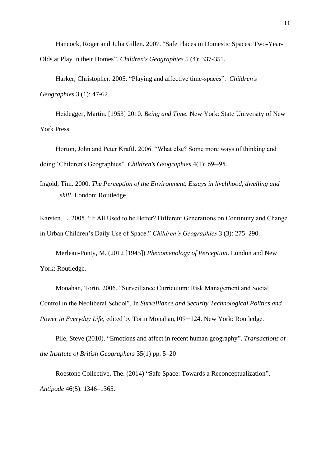Hancock, Roger and Julia Gillen. 2007. "Safe Places in Domestic Spaces: Two-Year-Olds at Play in their Homes". *Children's Geographies* 5 (4): 337-351.

Harker, Christopher. 2005. "Playing and affective time-spaces". *Children's Geographies* 3 (1): 47-62.

Heidegger, Martin. [1953] 2010. *Being and Time.* New York: State University of New York Press.

Horton, John and Peter Kraftl. 2006. "What else? Some more ways of thinking and doing 'Children's Geographies". *Children's Geographies* 4(1): 69─95.

Ingold, Tim. 2000. *The Perception of the Environment. Essays in livelihood, dwelling and skill.* London: Routledge.

Karsten, L. 2005. "It All Used to be Better? Different Generations on Continuity and Change in Urban Children's Daily Use of Space." *Children's Geographies* 3 (3): 275–290.

Merleau-Ponty, M. (2012 [1945]) *Phenomenology of Perception*. London and New York: Routledge.

Monahan, Torin. 2006. "Surveillance Curriculum: Risk Management and Social Control in the Neoliberal School". In *Surveillance and Security Technological Politics and Power in Everyday Life,* edited by Torin Monahan,109─124. New York: Routledge.

Pile, Steve (2010). "Emotions and affect in recent human geography". *Transactions of the Institute of British Geographers* 35(1) pp. 5–20

Roestone Collective, The. (2014) "Safe Space: Towards a Reconceptualization". *Antipode* 46(5): 1346–1365.